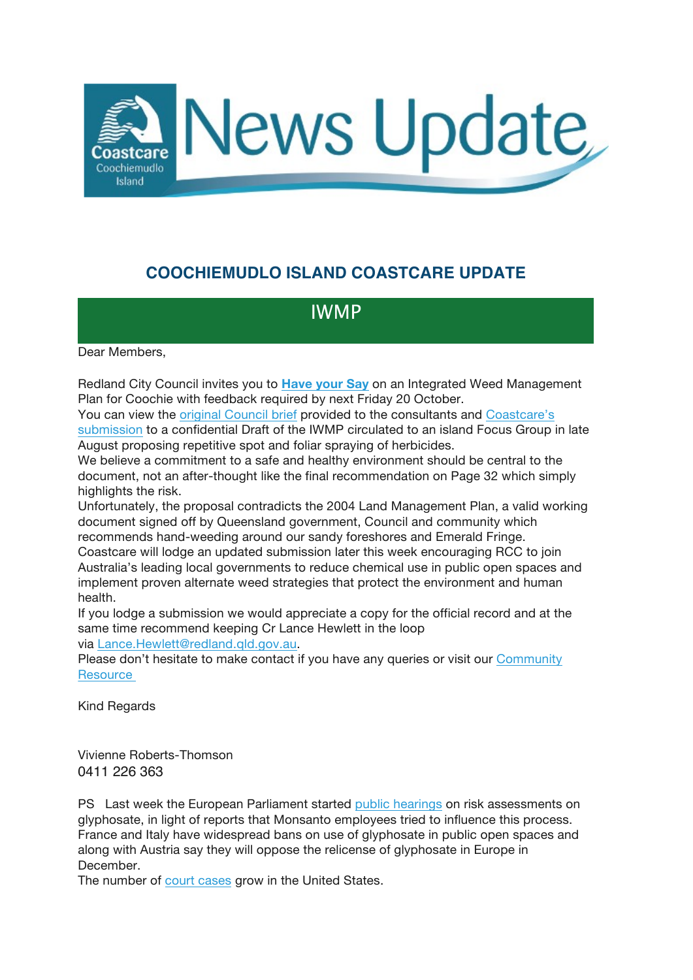

## **COOCHIEMUDLO ISLAND COASTCARE UPDATE**

## IWMP

Dear Members,

Redland City Council invites you to **Have your Say** on an Integrated Weed Management Plan for Coochie with feedback required by next Friday 20 October.

You can view the original Council brief provided to the consultants and Coastcare's submission to a confidential Draft of the IWMP circulated to an island Focus Group in late August proposing repetitive spot and foliar spraying of herbicides.

We believe a commitment to a safe and healthy environment should be central to the document, not an after-thought like the final recommendation on Page 32 which simply highlights the risk.

Unfortunately, the proposal contradicts the 2004 Land Management Plan, a valid working document signed off by Queensland government, Council and community which recommends hand-weeding around our sandy foreshores and Emerald Fringe.

Coastcare will lodge an updated submission later this week encouraging RCC to join Australia's leading local governments to reduce chemical use in public open spaces and implement proven alternate weed strategies that protect the environment and human health.

If you lodge a submission we would appreciate a copy for the official record and at the same time recommend keeping Cr Lance Hewlett in the loop via Lance.Hewlett@redland.qld.gov.au.

Please don't hesitate to make contact if you have any queries or visit our Community **Resource** 

Kind Regards

Vivienne Roberts-Thomson 0411 226 363

PS Last week the European Parliament started public hearings on risk assessments on glyphosate, in light of reports that Monsanto employees tried to influence this process. France and Italy have widespread bans on use of glyphosate in public open spaces and along with Austria say they will oppose the relicense of glyphosate in Europe in December.

The number of court cases grow in the United States.